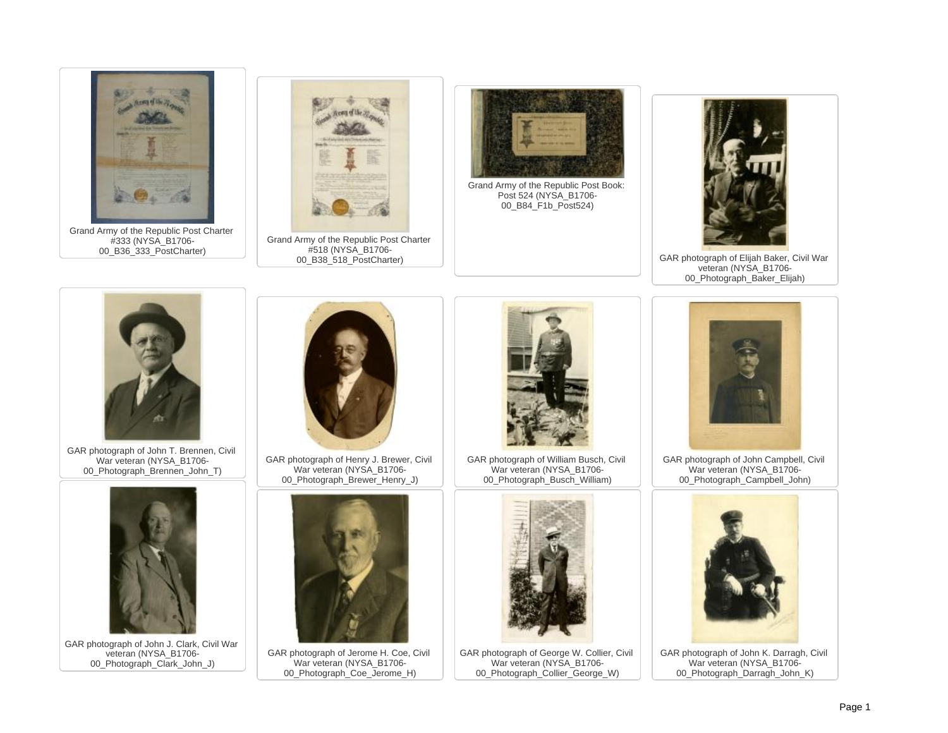

Grand Army of the Republic Post Charter #333 (NYSA\_B1706- 00\_B36\_333\_PostCharter)



Grand Army of the Republic Post Charter #518 (NYSA\_B1706- 00 B38 518 PostCharter)



Grand Army of the Republic Post Book: Post 524 (NYSA\_B1706- 00\_B84\_F1b\_Post524)



GAR photograph of Elijah Baker, Civil War veteran (NYSA\_B1706- 00 Photograph Baker Elijah)



GAR photograph of John T. Brennen, Civil War veteran (NYSA\_B1706- 00\_Photograph\_Brennen\_John\_T)



GAR photograph of John J. Clark, Civil War veteran (NYSA\_B1706-00 Photograph Clark John J)



GAR photograph of Henry J. Brewer, Civil War veteran (NYSA\_B1706- 00 Photograph Brewer Henry J)



GAR photograph of Jerome H. Coe, Civil War veteran (NYSA\_B1706- 00 Photograph<sup>Coe</sup> Jerome H)



GAR photograph of William Busch, Civil War veteran (NYSA\_B1706- 00 Photograph Busch William)



GAR photograph of George W. Collier, Civil War veteran (NYSA\_B1706- 00 Photograph\_Collier\_George\_W)



GAR photograph of John Campbell, Civil War veteran (NYSA\_B1706- 00 Photograph Campbell John)



GAR photograph of John K. Darragh, Civil War veteran (NYSA\_B1706- 00 Photograph Darragh John K)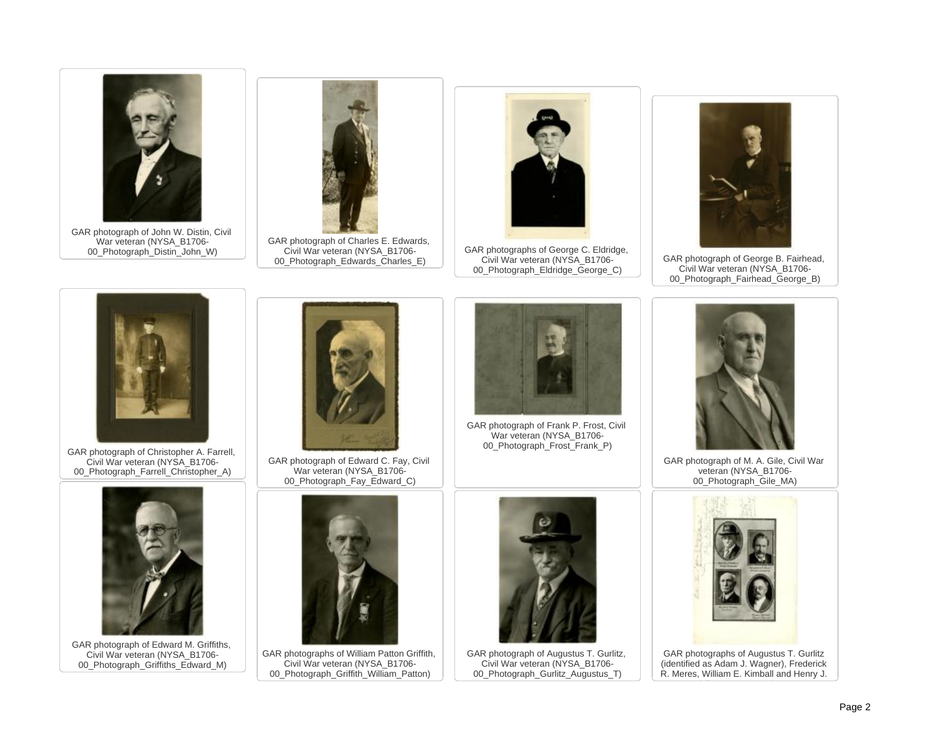

GAR photograph of John W. Distin, Civil War veteran (NYSA\_B1706- 00 Photograph<sup>Distin</sup> John W)



GAR photograph of Charles E. Edwards, Civil War veteran (NYSA\_B1706- 00 Photograph Edwards Charles E)



GAR photographs of George C. Eldridge, Civil War veteran (NYSA\_B1706- 00\_Photograph\_Eldridge\_George\_C)



GAR photograph of George B. Fairhead, Civil War veteran (NYSA\_B1706- 00\_Photograph\_Fairhead\_George\_B)



GAR photograph of Christopher A. Farrell, Civil War veteran (NYSA\_B1706- 00 Photograph Farrell Christopher A)



GAR photograph of Edward C. Fay, Civil War veteran (NYSA\_B1706- 00 Photograph Fay Edward C)



GAR photograph of Frank P. Frost, Civil War veteran (NYSA\_B1706- 00 Photograph\_Frost\_Frank\_P)



GAR photograph of M. A. Gile, Civil War veteran (NYSA\_B1706- 00 Photograph Gile MA)



GAR photograph of Edward M. Griffiths, Civil War veteran (NYSA\_B1706- 00 Photograph Griffiths Edward M)



GAR photographs of William Patton Griffith, Civil War veteran (NYSA\_B1706- 00 Photograph Griffith William Patton)



GAR photograph of Augustus T. Gurlitz, Civil War veteran (NYSA\_B1706- 00 Photograph Gurlitz Augustus T)



GAR photographs of Augustus T. Gurlitz (identified as Adam J. Wagner), Frederick R. Meres, William E. Kimball and Henry J.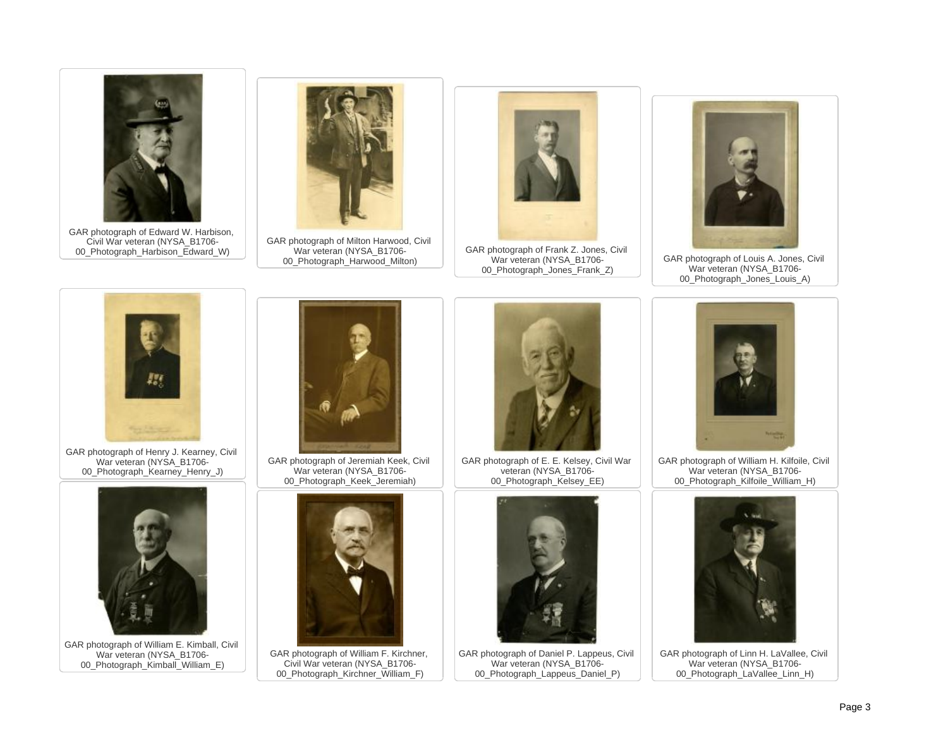

GAR photograph of Edward W. Harbison, Civil War veteran (NYSA\_B1706- 00 Photograph Harbison Edward W)



GAR photograph of Milton Harwood, Civil War veteran (NYSA\_B1706- 00 Photograph Harwood Milton)



GAR photograph of Frank Z. Jones, Civil War veteran (NYSA\_B1706- 00\_Photograph\_Jones\_Frank\_Z)



GAR photograph of Louis A. Jones, Civil War veteran (NYSA\_B1706- 00 Photograph Jones Louis A)



GAR photograph of Henry J. Kearney, Civil War veteran (NYSA\_B1706- 00\_Photograph\_Kearney\_Henry\_J)



GAR photograph of William E. Kimball, Civil War veteran (NYSA\_B1706- 00 Photograph\_Kimball\_William\_E)



GAR photograph of Jeremiah Keek, Civil War veteran (NYSA\_B1706- 00 Photograph Keek Jeremiah)



GAR photograph of William F. Kirchner, Civil War veteran (NYSA\_B1706- 00 Photograph Kirchner William F)



GAR photograph of E. E. Kelsey, Civil War veteran (NYSA\_B1706- 00 Photograph Kelsey EE)



GAR photograph of Daniel P. Lappeus, Civil War veteran (NYSA\_B1706-00 Photograph Lappeus Daniel P)



GAR photograph of William H. Kilfoile, Civil War veteran (NYSA\_B1706- 00 Photograph\_Kilfoile\_William\_H)



GAR photograph of Linn H. LaVallee, Civil War veteran (NYSA\_B1706-00 Photograph LaVallee Linn H)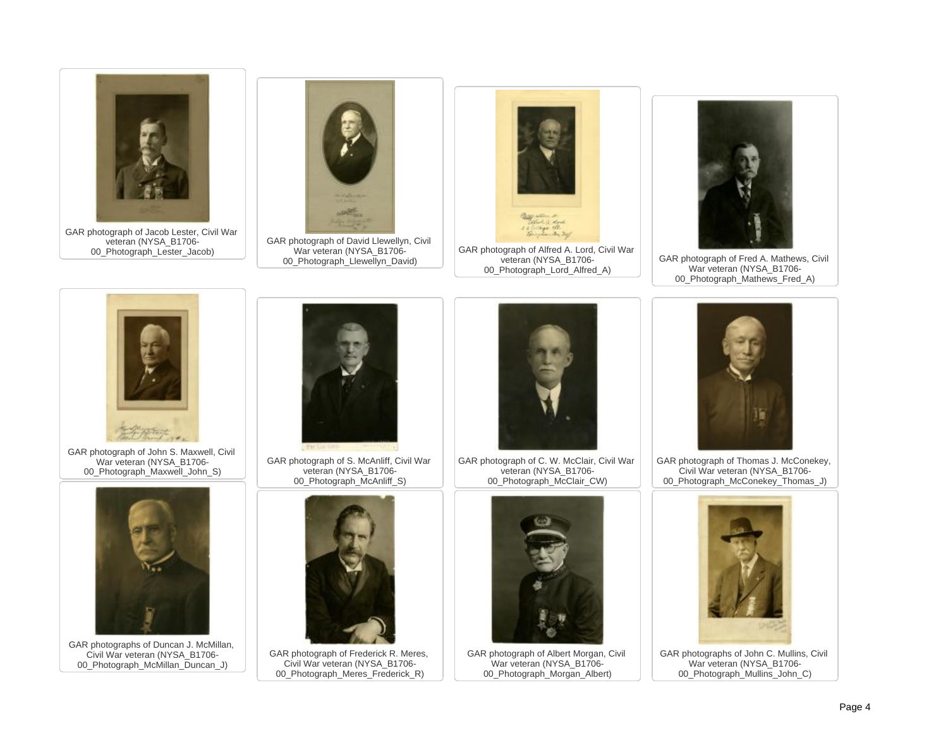

GAR photograph of Jacob Lester, Civil War veteran (NYSA\_B1706- 00 Photograph Lester Jacob)



GAR photograph of David Llewellyn, Civil War veteran (NYSA\_B1706- 00 Photograph Llewellyn David)



GAR photograph of Alfred A. Lord, Civil War veteran (NYSA\_B1706- 00\_Photograph\_Lord\_Alfred\_A)



GAR photograph of Fred A. Mathews, Civil War veteran (NYSA\_B1706- 00\_Photograph\_Mathews\_Fred\_A)



GAR photograph of John S. Maxwell, Civil War veteran (NYSA\_B1706- 00\_Photograph\_Maxwell\_John\_S)



GAR photographs of Duncan J. McMillan, Civil War veteran (NYSA\_B1706- 00 Photograph McMillan Duncan J)



GAR photograph of S. McAnliff, Civil War veteran (NYSA\_B1706- 00 Photograph McAnliff S)



GAR photograph of Frederick R. Meres, Civil War veteran (NYSA\_B1706- 00 Photograph Meres Frederick R)



GAR photograph of C. W. McClair, Civil War veteran (NYSA\_B1706- 00\_Photograph\_McClair\_CW)



GAR photograph of Albert Morgan, Civil War veteran (NYSA\_B1706- 00 Photograph Morgan Albert)



GAR photograph of Thomas J. McConekey, Civil War veteran (NYSA\_B1706- 00\_Photograph\_McConekey\_Thomas\_J)



GAR photographs of John C. Mullins, Civil War veteran (NYSA\_B1706- 00 Photograph Mullins John C)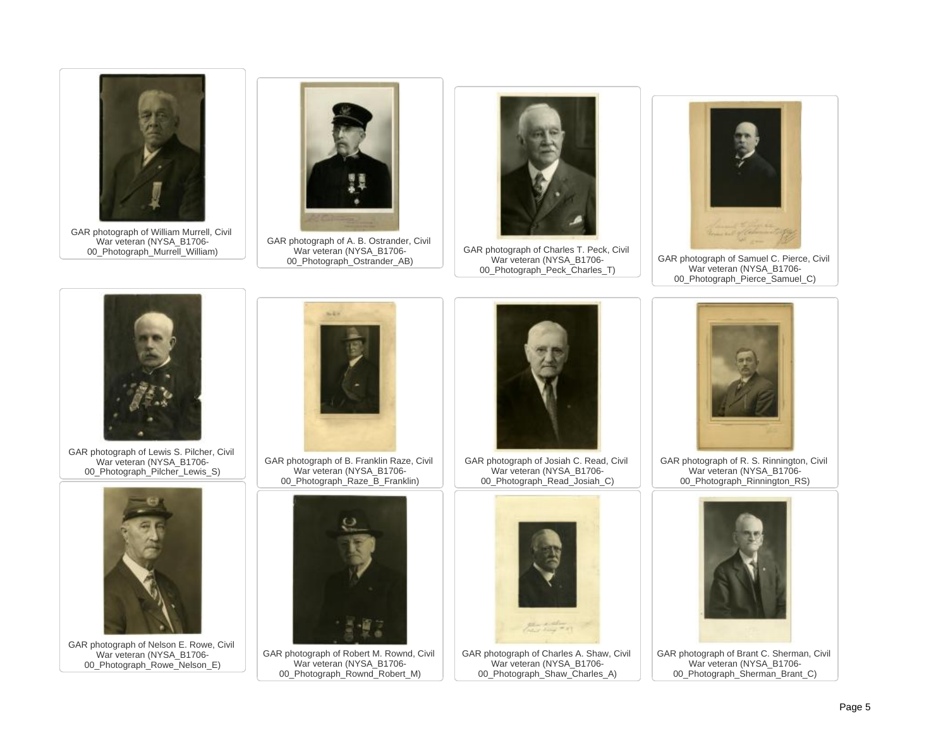

GAR photograph of William Murrell, Civil War veteran (NYSA\_B1706- 00 Photograph Murrell William)



GAR photograph of A. B. Ostrander, Civil War veteran (NYSA\_B1706- 00 Photograph Ostrander AB)



GAR photograph of Charles T. Peck, Civil War veteran (NYSA\_B1706- 00\_Photograph\_Peck\_Charles\_T)



GAR photograph of Samuel C. Pierce, Civil War veteran (NYSA\_B1706- 00\_Photograph\_Pierce\_Samuel\_C)



GAR photograph of Lewis S. Pilcher, Civil War veteran (NYSA\_B1706-00 Photograph Pilcher Lewis S)



GAR photograph of Nelson E. Rowe, Civil War veteran (NYSA\_B1706- 00 Photograph Rowe Nelson E)



GAR photograph of B. Franklin Raze, Civil War veteran (NYSA\_B1706- 00 Photograph Raze B Franklin)



GAR photograph of Robert M. Rownd, Civil War veteran (NYSA\_B1706- 00\_Photograph\_Rownd\_Robert\_M)



GAR photograph of Josiah C. Read, Civil War veteran (NYSA\_B1706- 00 Photograph Read Josiah C)



GAR photograph of Charles A. Shaw, Civil War veteran (NYSA\_B1706- 00 Photograph Shaw Charles A)



GAR photograph of R. S. Rinnington, Civil War veteran (NYSA\_B1706- 00 Photograph Rinnington RS)



GAR photograph of Brant C. Sherman, Civil War veteran (NYSA\_B1706-00 Photograph\_Sherman\_Brant\_C)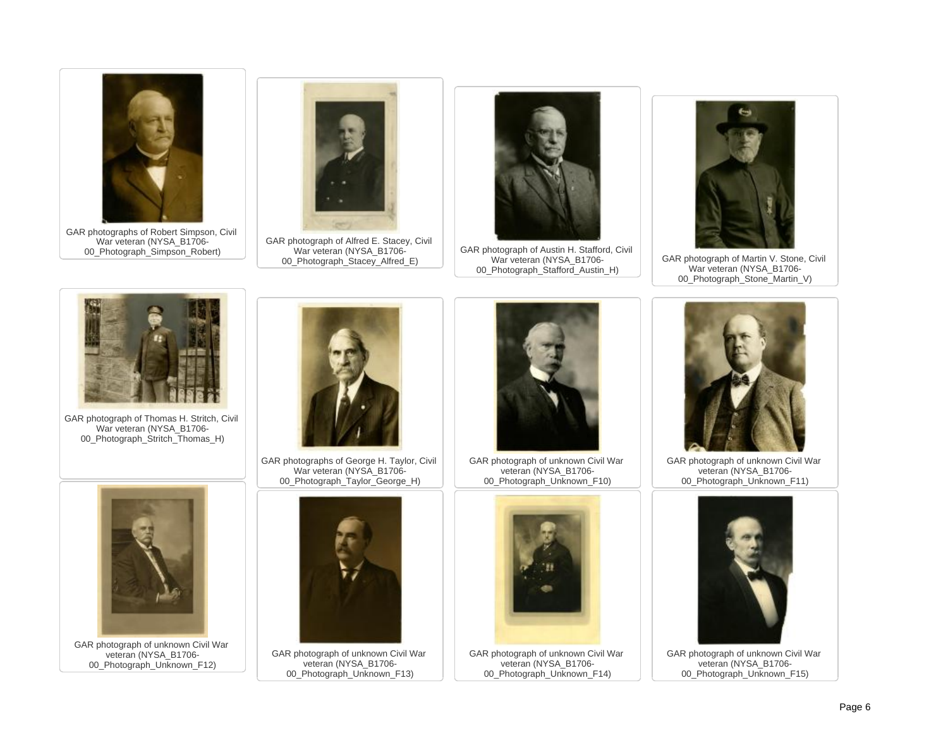

GAR photographs of Robert Simpson, Civil War veteran (NYSA\_B1706- 00 Photograph Simpson Robert)



GAR photograph of Alfred E. Stacey, Civil War veteran (NYSA\_B1706- 00\_Photograph\_Stacey\_Alfred\_E)



GAR photograph of Austin H. Stafford, Civil War veteran (NYSA\_B1706- 00\_Photograph\_Stafford\_Austin\_H)



GAR photograph of Martin V. Stone, Civil War veteran (NYSA\_B1706- 00\_Photograph\_Stone\_Martin\_V)



GAR photograph of Thomas H. Stritch, Civil War veteran (NYSA\_B1706- 00 Photograph Stritch Thomas H)



GAR photographs of George H. Taylor, Civil War veteran (NYSA\_B1706- 00 Photograph Taylor George H)



GAR photograph of unknown Civil War veteran (NYSA\_B1706- 00 Photograph Unknown F12)



GAR photograph of unknown Civil War veteran (NYSA\_B1706- 00 Photograph Unknown F13)



GAR photograph of unknown Civil War veteran (NYSA\_B1706- 00 Photograph Unknown F10)



GAR photograph of unknown Civil War veteran (NYSA\_B1706- 00\_Photograph\_Unknown\_F14)



GAR photograph of unknown Civil War veteran (NYSA\_B1706- 00\_Photograph\_Unknown\_F11)



GAR photograph of unknown Civil War veteran (NYSA\_B1706- 00 Photograph Unknown F15)